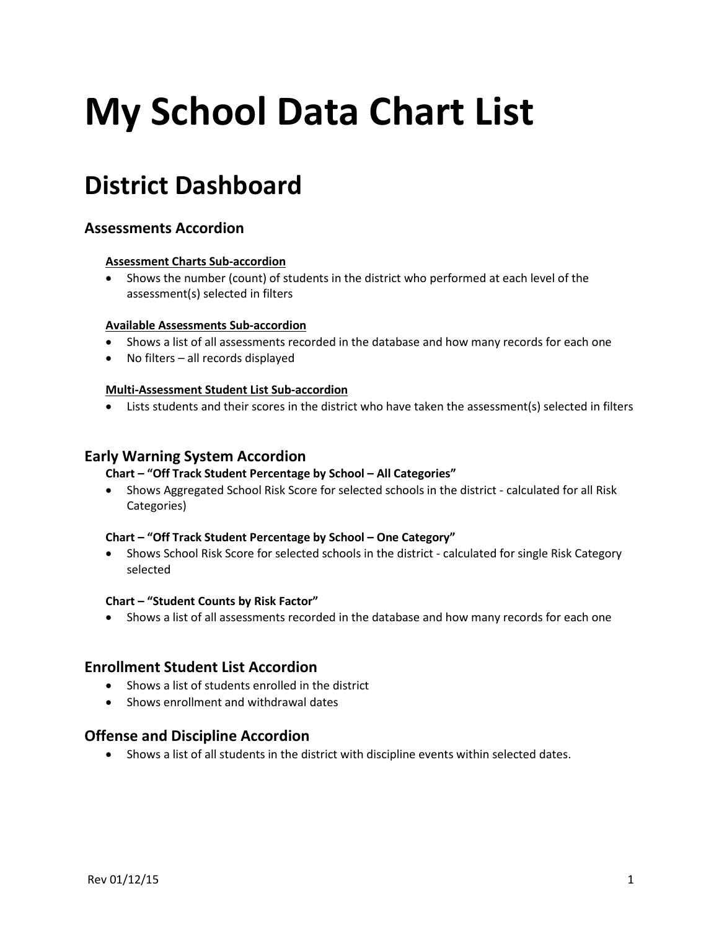# **My School Data Chart List**

# **District Dashboard**

# **Assessments Accordion**

#### **Assessment Charts Sub-accordion**

• Shows the number (count) of students in the district who performed at each level of the assessment(s) selected in filters

#### **Available Assessments Sub-accordion**

- Shows a list of all assessments recorded in the database and how many records for each one
- No filters all records displayed

#### **Multi-Assessment Student List Sub-accordion**

• Lists students and their scores in the district who have taken the assessment(s) selected in filters

#### **Early Warning System Accordion**

#### **Chart – "Off Track Student Percentage by School – All Categories"**

• Shows Aggregated School Risk Score for selected schools in the district - calculated for all Risk Categories)

#### **Chart – "Off Track Student Percentage by School – One Category"**

• Shows School Risk Score for selected schools in the district - calculated for single Risk Category selected

#### **Chart – "Student Counts by Risk Factor"**

• Shows a list of all assessments recorded in the database and how many records for each one

#### **Enrollment Student List Accordion**

- Shows a list of students enrolled in the district
- Shows enrollment and withdrawal dates

#### **Offense and Discipline Accordion**

• Shows a list of all students in the district with discipline events within selected dates.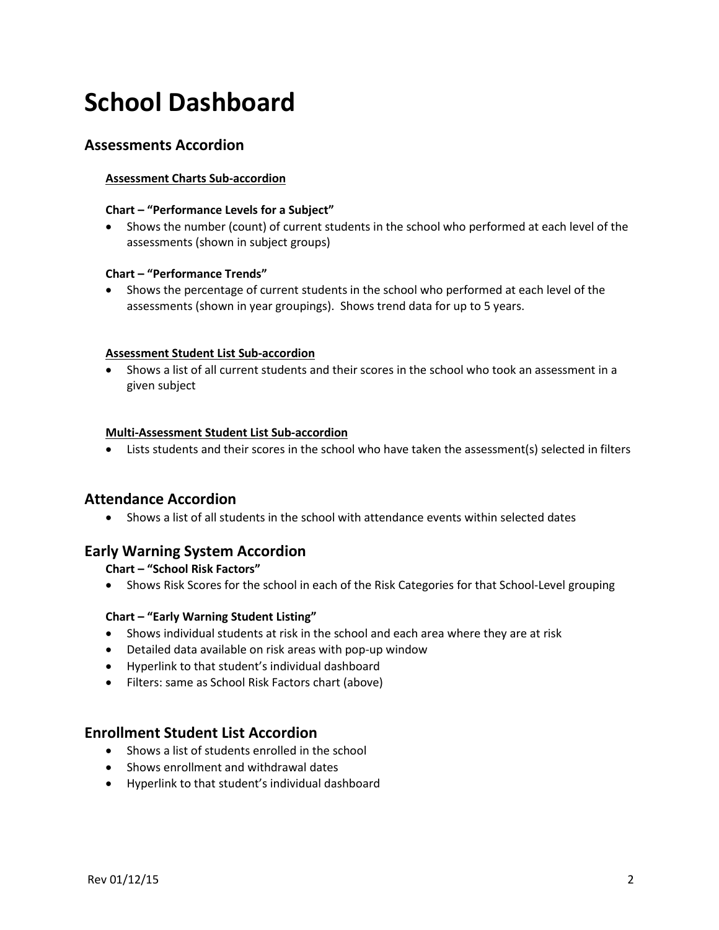# **School Dashboard**

# **Assessments Accordion**

#### **Assessment Charts Sub-accordion**

#### **Chart – "Performance Levels for a Subject"**

• Shows the number (count) of current students in the school who performed at each level of the assessments (shown in subject groups)

#### **Chart – "Performance Trends"**

• Shows the percentage of current students in the school who performed at each level of the assessments (shown in year groupings). Shows trend data for up to 5 years.

#### **Assessment Student List Sub-accordion**

• Shows a list of all current students and their scores in the school who took an assessment in a given subject

#### **Multi-Assessment Student List Sub-accordion**

• Lists students and their scores in the school who have taken the assessment(s) selected in filters

#### **Attendance Accordion**

• Shows a list of all students in the school with attendance events within selected dates

# **Early Warning System Accordion**

#### **Chart – "School Risk Factors"**

• Shows Risk Scores for the school in each of the Risk Categories for that School-Level grouping

#### **Chart – "Early Warning Student Listing"**

- Shows individual students at risk in the school and each area where they are at risk
- Detailed data available on risk areas with pop-up window
- Hyperlink to that student's individual dashboard
- Filters: same as School Risk Factors chart (above)

## **Enrollment Student List Accordion**

- Shows a list of students enrolled in the school
- Shows enrollment and withdrawal dates
- Hyperlink to that student's individual dashboard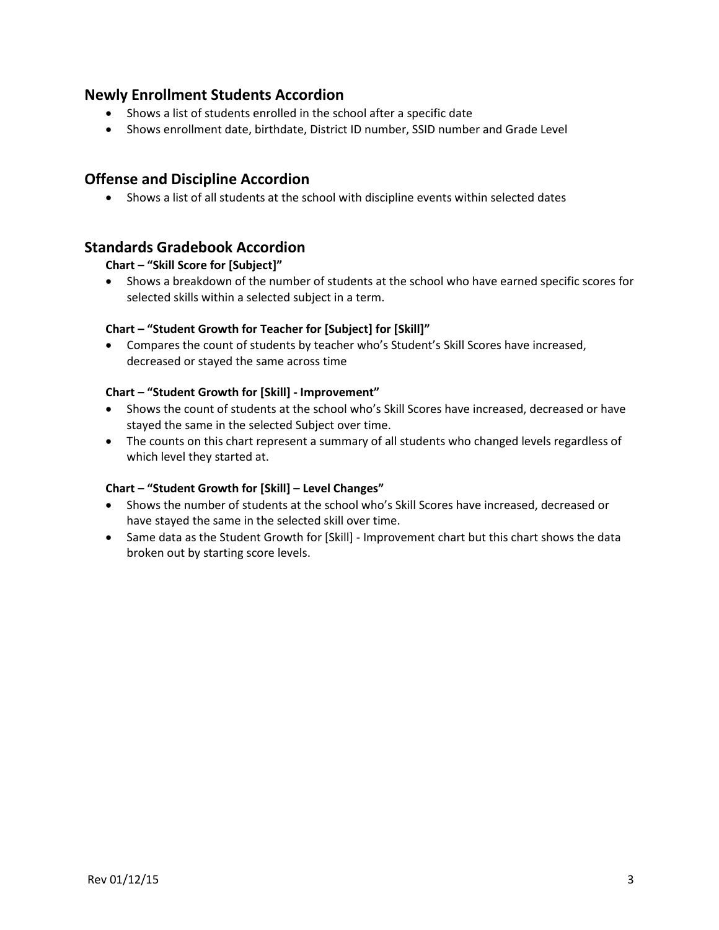# **Newly Enrollment Students Accordion**

- Shows a list of students enrolled in the school after a specific date
- Shows enrollment date, birthdate, District ID number, SSID number and Grade Level

# **Offense and Discipline Accordion**

• Shows a list of all students at the school with discipline events within selected dates

# **Standards Gradebook Accordion**

#### **Chart – "Skill Score for [Subject]"**

• Shows a breakdown of the number of students at the school who have earned specific scores for selected skills within a selected subject in a term.

#### **Chart – "Student Growth for Teacher for [Subject] for [Skill]"**

• Compares the count of students by teacher who's Student's Skill Scores have increased, decreased or stayed the same across time

#### **Chart – "Student Growth for [Skill] - Improvement"**

- Shows the count of students at the school who's Skill Scores have increased, decreased or have stayed the same in the selected Subject over time.
- The counts on this chart represent a summary of all students who changed levels regardless of which level they started at.

#### **Chart – "Student Growth for [Skill] – Level Changes"**

- Shows the number of students at the school who's Skill Scores have increased, decreased or have stayed the same in the selected skill over time.
- Same data as the Student Growth for [Skill] Improvement chart but this chart shows the data broken out by starting score levels.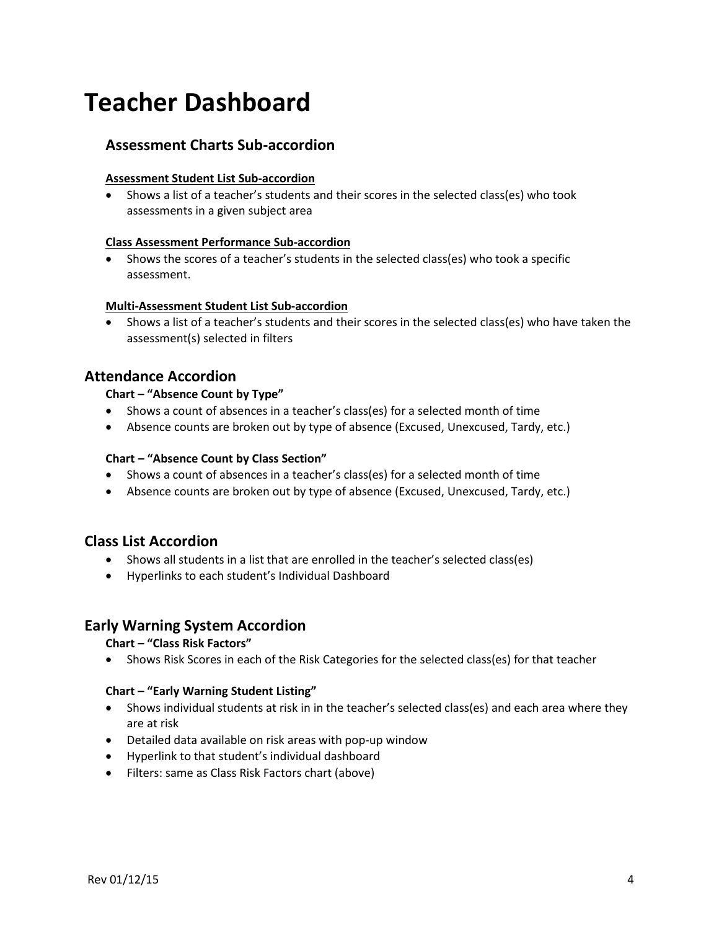# **Teacher Dashboard**

# **Assessment Charts Sub-accordion**

#### **Assessment Student List Sub-accordion**

• Shows a list of a teacher's students and their scores in the selected class(es) who took assessments in a given subject area

#### **Class Assessment Performance Sub-accordion**

• Shows the scores of a teacher's students in the selected class(es) who took a specific assessment.

#### **Multi-Assessment Student List Sub-accordion**

• Shows a list of a teacher's students and their scores in the selected class(es) who have taken the assessment(s) selected in filters

# **Attendance Accordion**

#### **Chart – "Absence Count by Type"**

- Shows a count of absences in a teacher's class(es) for a selected month of time
- Absence counts are broken out by type of absence (Excused, Unexcused, Tardy, etc.)

#### **Chart – "Absence Count by Class Section"**

- Shows a count of absences in a teacher's class(es) for a selected month of time
- Absence counts are broken out by type of absence (Excused, Unexcused, Tardy, etc.)

#### **Class List Accordion**

- Shows all students in a list that are enrolled in the teacher's selected class(es)
- Hyperlinks to each student's Individual Dashboard

# **Early Warning System Accordion**

#### **Chart – "Class Risk Factors"**

• Shows Risk Scores in each of the Risk Categories for the selected class(es) for that teacher

#### **Chart – "Early Warning Student Listing"**

- Shows individual students at risk in in the teacher's selected class(es) and each area where they are at risk
- Detailed data available on risk areas with pop-up window
- Hyperlink to that student's individual dashboard
- Filters: same as Class Risk Factors chart (above)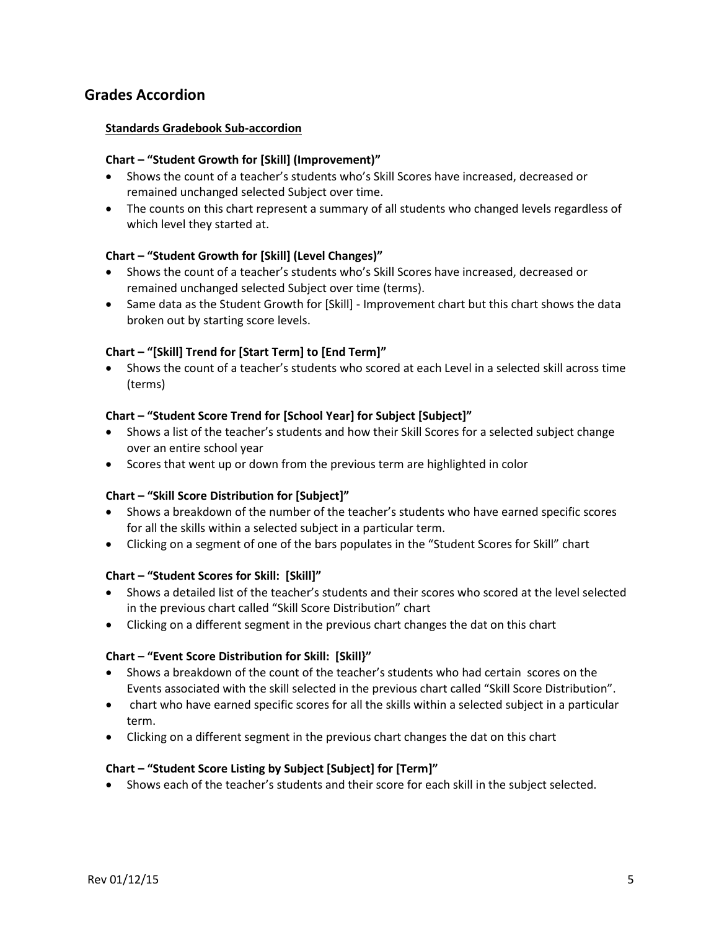# **Grades Accordion**

#### **Standards Gradebook Sub-accordion**

#### **Chart – "Student Growth for [Skill] (Improvement)"**

- Shows the count of a teacher's students who's Skill Scores have increased, decreased or remained unchanged selected Subject over time.
- The counts on this chart represent a summary of all students who changed levels regardless of which level they started at.

#### **Chart – "Student Growth for [Skill] (Level Changes)"**

- Shows the count of a teacher's students who's Skill Scores have increased, decreased or remained unchanged selected Subject over time (terms).
- Same data as the Student Growth for [Skill] Improvement chart but this chart shows the data broken out by starting score levels.

#### **Chart – "[Skill] Trend for [Start Term] to [End Term]"**

• Shows the count of a teacher's students who scored at each Level in a selected skill across time (terms)

#### **Chart – "Student Score Trend for [School Year] for Subject [Subject]"**

- Shows a list of the teacher's students and how their Skill Scores for a selected subject change over an entire school year
- Scores that went up or down from the previous term are highlighted in color

#### **Chart – "Skill Score Distribution for [Subject]"**

- Shows a breakdown of the number of the teacher's students who have earned specific scores for all the skills within a selected subject in a particular term.
- Clicking on a segment of one of the bars populates in the "Student Scores for Skill" chart

#### **Chart – "Student Scores for Skill: [Skill]"**

- Shows a detailed list of the teacher's students and their scores who scored at the level selected in the previous chart called "Skill Score Distribution" chart
- Clicking on a different segment in the previous chart changes the dat on this chart

#### **Chart – "Event Score Distribution for Skill: [Skill}"**

- Shows a breakdown of the count of the teacher's students who had certain scores on the Events associated with the skill selected in the previous chart called "Skill Score Distribution".
- chart who have earned specific scores for all the skills within a selected subject in a particular term.
- Clicking on a different segment in the previous chart changes the dat on this chart

#### **Chart – "Student Score Listing by Subject [Subject] for [Term]"**

• Shows each of the teacher's students and their score for each skill in the subject selected.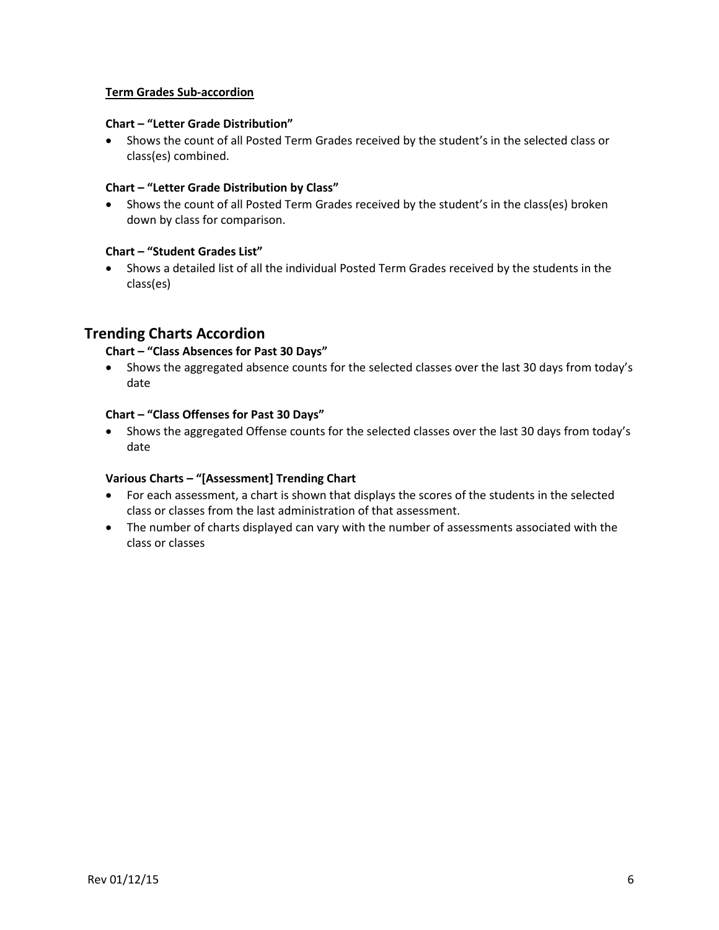#### **Term Grades Sub-accordion**

#### **Chart – "Letter Grade Distribution"**

• Shows the count of all Posted Term Grades received by the student's in the selected class or class(es) combined.

#### **Chart – "Letter Grade Distribution by Class"**

• Shows the count of all Posted Term Grades received by the student's in the class(es) broken down by class for comparison.

#### **Chart – "Student Grades List"**

• Shows a detailed list of all the individual Posted Term Grades received by the students in the class(es)

# **Trending Charts Accordion**

#### **Chart – "Class Absences for Past 30 Days"**

• Shows the aggregated absence counts for the selected classes over the last 30 days from today's date

#### **Chart – "Class Offenses for Past 30 Days"**

• Shows the aggregated Offense counts for the selected classes over the last 30 days from today's date

#### **Various Charts – "[Assessment] Trending Chart**

- For each assessment, a chart is shown that displays the scores of the students in the selected class or classes from the last administration of that assessment.
- The number of charts displayed can vary with the number of assessments associated with the class or classes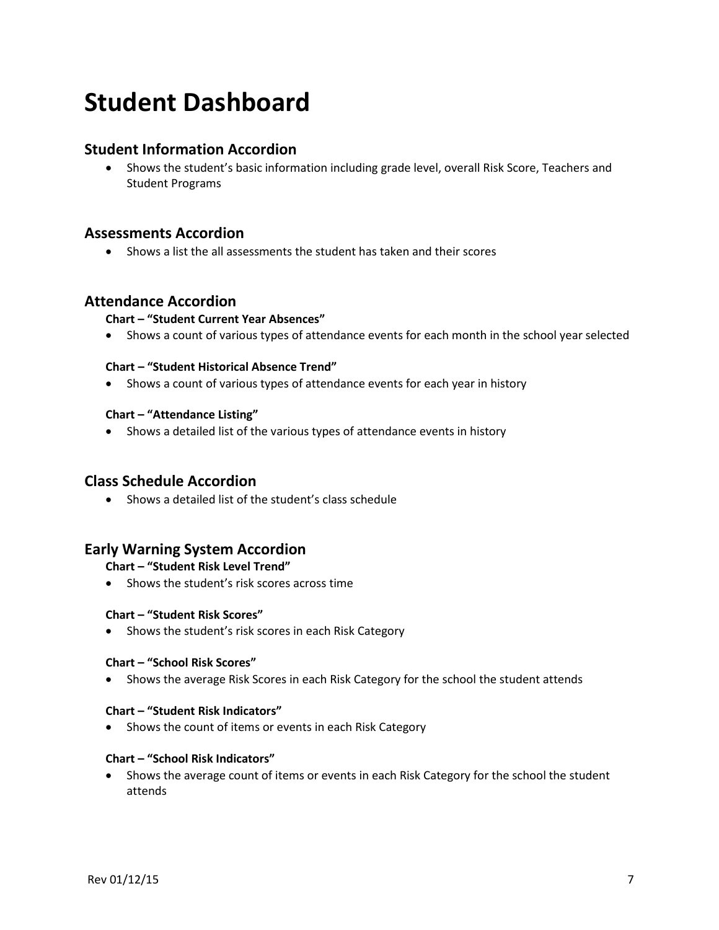# **Student Dashboard**

# **Student Information Accordion**

• Shows the student's basic information including grade level, overall Risk Score, Teachers and Student Programs

# **Assessments Accordion**

• Shows a list the all assessments the student has taken and their scores

# **Attendance Accordion**

#### **Chart – "Student Current Year Absences"**

• Shows a count of various types of attendance events for each month in the school year selected

#### **Chart – "Student Historical Absence Trend"**

• Shows a count of various types of attendance events for each year in history

#### **Chart – "Attendance Listing"**

• Shows a detailed list of the various types of attendance events in history

#### **Class Schedule Accordion**

• Shows a detailed list of the student's class schedule

#### **Early Warning System Accordion**

#### **Chart – "Student Risk Level Trend"**

• Shows the student's risk scores across time

#### **Chart – "Student Risk Scores"**

• Shows the student's risk scores in each Risk Category

#### **Chart – "School Risk Scores"**

• Shows the average Risk Scores in each Risk Category for the school the student attends

#### **Chart – "Student Risk Indicators"**

• Shows the count of items or events in each Risk Category

#### **Chart – "School Risk Indicators"**

• Shows the average count of items or events in each Risk Category for the school the student attends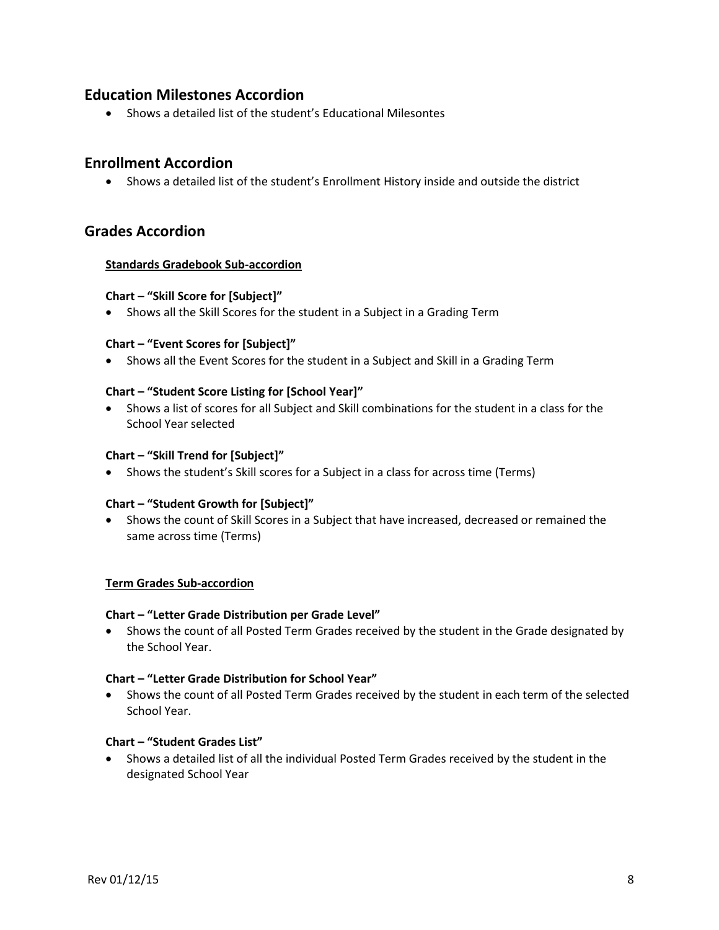# **Education Milestones Accordion**

• Shows a detailed list of the student's Educational Milesontes

# **Enrollment Accordion**

• Shows a detailed list of the student's Enrollment History inside and outside the district

# **Grades Accordion**

#### **Standards Gradebook Sub-accordion**

#### **Chart – "Skill Score for [Subject]"**

• Shows all the Skill Scores for the student in a Subject in a Grading Term

#### **Chart – "Event Scores for [Subject]"**

• Shows all the Event Scores for the student in a Subject and Skill in a Grading Term

#### **Chart – "Student Score Listing for [School Year]"**

• Shows a list of scores for all Subject and Skill combinations for the student in a class for the School Year selected

#### **Chart – "Skill Trend for [Subject]"**

• Shows the student's Skill scores for a Subject in a class for across time (Terms)

#### **Chart – "Student Growth for [Subject]"**

• Shows the count of Skill Scores in a Subject that have increased, decreased or remained the same across time (Terms)

#### **Term Grades Sub-accordion**

#### **Chart – "Letter Grade Distribution per Grade Level"**

• Shows the count of all Posted Term Grades received by the student in the Grade designated by the School Year.

#### **Chart – "Letter Grade Distribution for School Year"**

• Shows the count of all Posted Term Grades received by the student in each term of the selected School Year.

#### **Chart – "Student Grades List"**

• Shows a detailed list of all the individual Posted Term Grades received by the student in the designated School Year